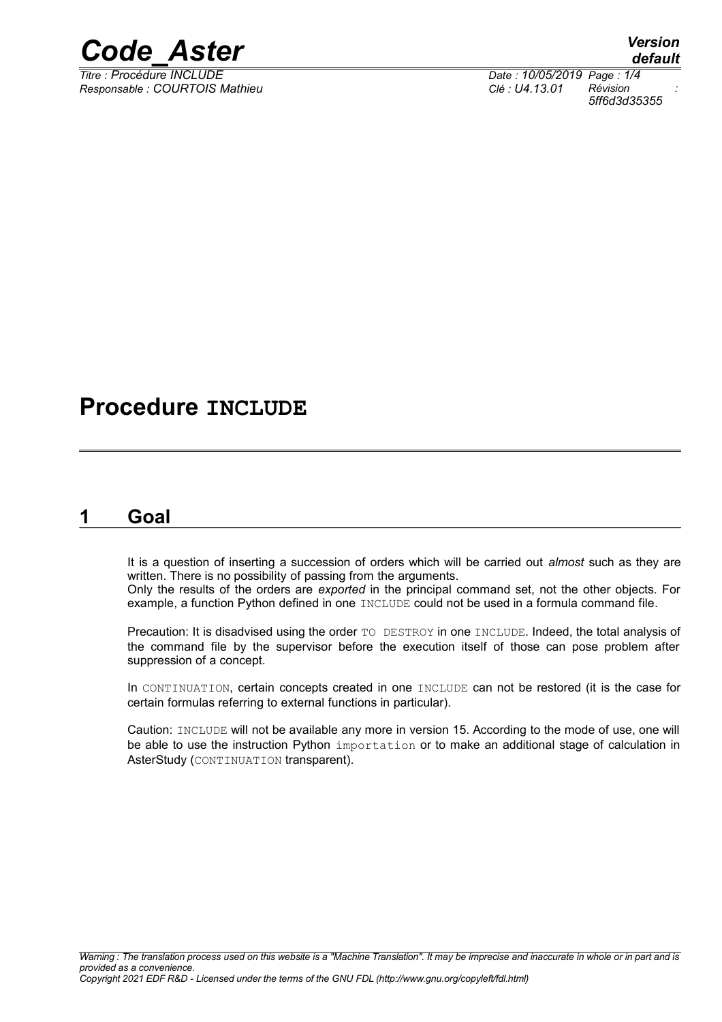

*Responsable : COURTOIS Mathieu Clé : U4.13.01 Révision :*

*default Titre : Procédure INCLUDE Date : 10/05/2019 Page : 1/4 5ff6d3d35355*

## **Procedure INCLUDE**

### **1 Goal**

It is a question of inserting a succession of orders which will be carried out *almost* such as they are written. There is no possibility of passing from the arguments.

Only the results of the orders are *exported* in the principal command set, not the other objects. For example, a function Python defined in one INCLUDE could not be used in a formula command file.

Precaution: It is disadvised using the order TO DESTROY in one INCLUDE. Indeed, the total analysis of the command file by the supervisor before the execution itself of those can pose problem after suppression of a concept.

In CONTINUATION, certain concepts created in one INCLUDE can not be restored (it is the case for certain formulas referring to external functions in particular).

Caution: INCLUDE will not be available any more in version 15. According to the mode of use, one will be able to use the instruction Python importation or to make an additional stage of calculation in AsterStudy (CONTINUATION transparent).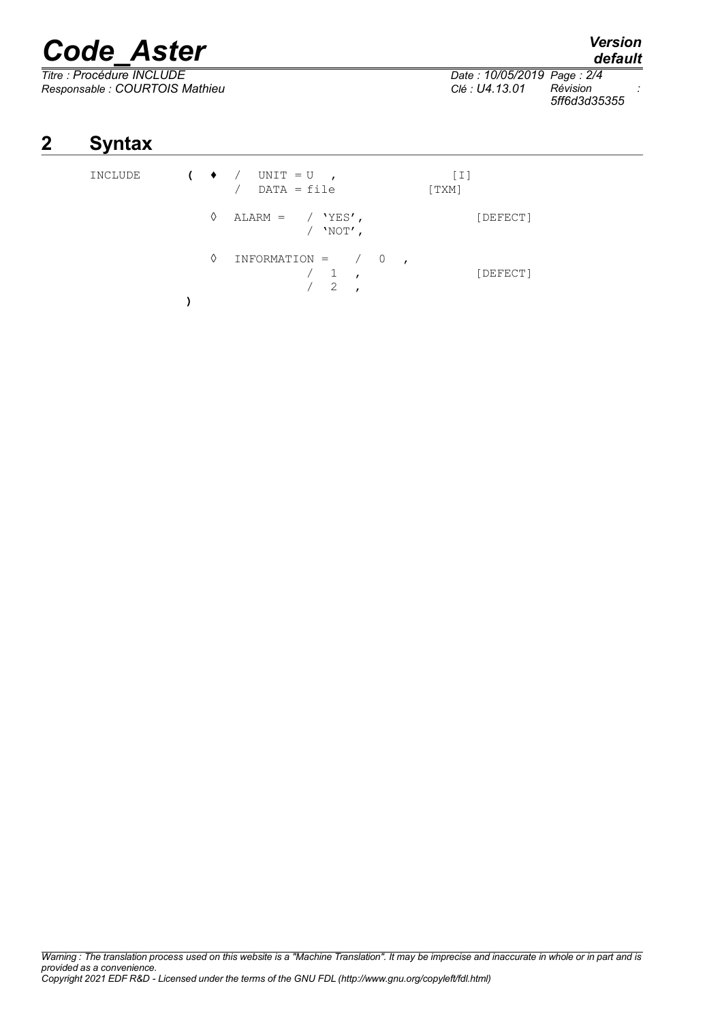# *Code\_Aster Version*

*Titre : Procédure INCLUDE Date : 10/05/2019 Page : 2/4 Responsable : COURTOIS Mathieu Clé : U4.13.01 Révision : 5ff6d3d35355*

*default*

## **2 Syntax**

INCLUDE **(** ♦ / UNIT = U , [I]  $/$  DATA = file  $\Diamond$  ALARM = / 'YES', [DEFECT]  $/$  'NOT',  $\begin{array}{cccc} \Diamond & \text{INFORMATION} & = & / & 0 \\ & / & 1 & , \end{array}$  $/$  1,<br> $/$  2, 2 . **)**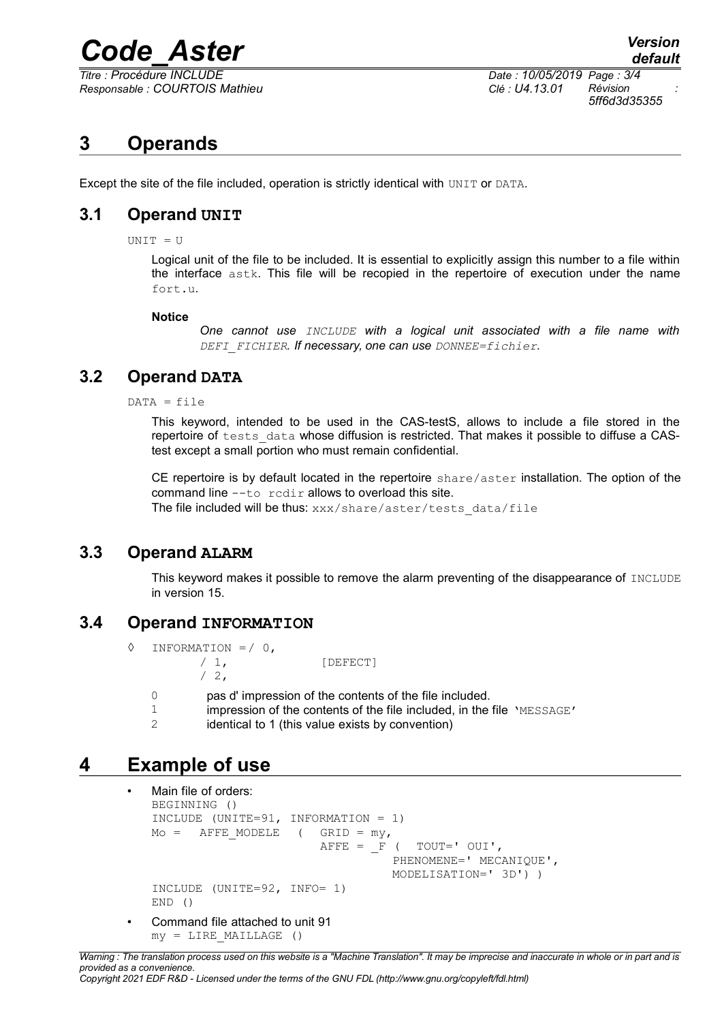## *Code\_Aster Version*

*Titre : Procédure INCLUDE Date : 10/05/2019 Page : 3/4 Responsable : COURTOIS Mathieu Clé : U4.13.01 Révision :*

*5ff6d3d35355*

## **3 Operands**

Except the site of the file included, operation is strictly identical with UNIT or DATA.

#### **3.1 Operand UNIT**

UNIT = U

Logical unit of the file to be included. It is essential to explicitly assign this number to a file within the interface astk. This file will be recopied in the repertoire of execution under the name fort.u.

#### **Notice**

*One cannot use INCLUDE with a logical unit associated with a file name with DEFI\_FICHIER. If necessary, one can use DONNEE=fichier.*

#### **3.2 Operand DATA**

 $DATA = file$ 

This keyword, intended to be used in the CAS-testS, allows to include a file stored in the repertoire of tests data whose diffusion is restricted. That makes it possible to diffuse a CAStest except a small portion who must remain confidential.

CE repertoire is by default located in the repertoire share/aster installation. The option of the command line --to rcdir allows to overload this site. The file included will be thus: xxx/share/aster/tests\_data/file

#### **3.3 Operand ALARM**

This keyword makes it possible to remove the alarm preventing of the disappearance of INCLUDE in version 15.

#### **3.4 Operand INFORMATION**

- $\Diamond$  INFORMATION =  $/ 0$ . / 1, [DEFECT]  $/2$ ,
	- 0 pas d' impression of the contents of the file included.
	- 1 impression of the contents of the file included, in the file 'MESSAGE'<br>2 identical to 1 (this value exists by convention)
	- identical to 1 (this value exists by convention)

### **4 Example of use**

```
Main file of orders:
BEGINNING ()
INCLUDE (UNITE=91, INFORMATION = 1)
Mo = AFFFE MODELE ( GRID = my,
                        AFFE = F ( TOUT=' OUI',
                                  PHENOMENE=' MECANIQUE', 
                                  MODELISATION=' 3D') )
INCLUDE (UNITE=92, INFO= 1)
END ()
```
• Command file attached to unit 91  $my = LINE MALLLAGE$  ()

*Warning : The translation process used on this website is a "Machine Translation". It may be imprecise and inaccurate in whole or in part and is provided as a convenience. Copyright 2021 EDF R&D - Licensed under the terms of the GNU FDL (http://www.gnu.org/copyleft/fdl.html)*